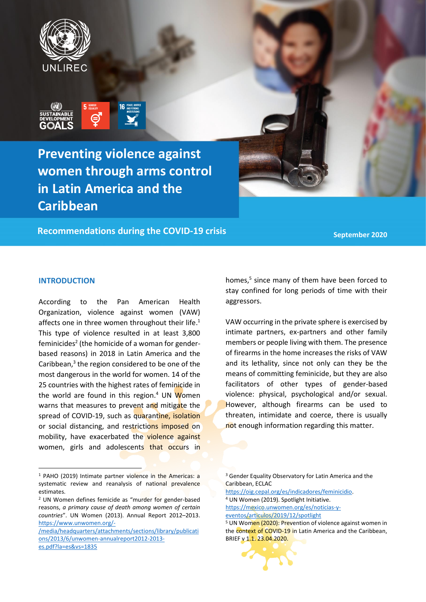



**Preventing violence against women through arms control in Latin America and the Caribbean**

**Recommendations during the COVID-19 crisis**

**September 2020**

## **INTRODUCTION**

According to the Pan American Health Organization, violence against women (VAW) affects one in three women throughout their life.<sup>1</sup> This type of violence resulted in at least 3,800 feminicides<sup>2</sup> (the homicide of a woman for genderbased reasons) in 2018 in Latin America and the Caribbean, 3 the region considered to be one of the most dangerous in the world for women. 14 of the 25 countries with the highest rates of feminicide in the world are found in this region.<sup>4</sup> UN Women warns that measures to prevent and mitigate the spread of COVID-19, such as quarantine, isolation or social distancing, and restrictions imposed on mobility, have exacerbated the violence against women, girls and adolescents that occurs in homes, 5 since many of them have been forced to stay confined for long periods of time with their aggressors.

VAW occurring in the private sphere is exercised by intimate partners, ex-partners and other family members or people living with them. The presence of firearms in the home increases the risks of VAW and its lethality, since not only can they be the means of committing feminicide, but they are also facilitators of other types of gender-based violence: physical, psychological and/or sexual. However, although firearms can be used to threaten, intimidate and coerce, there is usually not enough information regarding this matter.

<sup>3</sup> Gender Equality Observatory for Latin America and the Caribbean, ECLAC

[https://oig.cepal.org/es/indicadores/feminicidio.](https://oig.cepal.org/es/indicadores/feminicidio) <sup>4</sup> UN Women (2019). Spotlight Initiative. [https://mexico.unwomen.org/es/noticias-y-](https://mexico.unwomen.org/es/noticias-y-%20eventos/articulos/2019/12/spotlight)

[eventos/articulos/2019/12/spotlight](https://mexico.unwomen.org/es/noticias-y-%20eventos/articulos/2019/12/spotlight)

<sup>&</sup>lt;sup>5</sup> UN Women (2020): Prevention of violence against women in the context of COVID-19 in Latin America and the Caribbean, BRIEF v 1.1. 23.04.2020.



<sup>1</sup> PAHO (2019) Intimate partner violence in the Americas: a systematic review and reanalysis of national prevalence estimates.

<sup>2</sup> UN Women defines femicide as "murder for gender-based reasons, *a primary cause of death among women of certain countries*". UN Women (2013). Annual Report 2012–2013. [https://www.unwomen.org/-](https://www.unwomen.org/-/media/headquarters/attachments/sections/library/publications/2013/6/unwomen-annualreport2012-2013-es.pdf?la=es&vs=1835)

[<sup>/</sup>media/headquarters/attachments/sections/library/publicati](https://www.unwomen.org/-/media/headquarters/attachments/sections/library/publications/2013/6/unwomen-annualreport2012-2013-es.pdf?la=es&vs=1835) [ons/2013/6/unwomen-annualreport2012-2013](https://www.unwomen.org/-/media/headquarters/attachments/sections/library/publications/2013/6/unwomen-annualreport2012-2013-es.pdf?la=es&vs=1835) [es.pdf?la=es&vs=1835](https://www.unwomen.org/-/media/headquarters/attachments/sections/library/publications/2013/6/unwomen-annualreport2012-2013-es.pdf?la=es&vs=1835)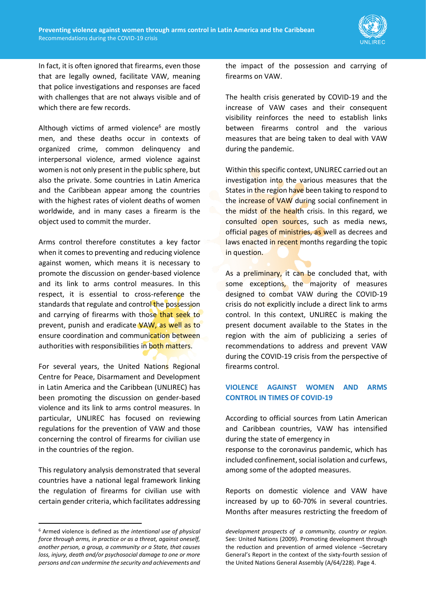

In fact, it is often ignored that firearms, even those that are legally owned, facilitate VAW, meaning that police investigations and responses are faced with challenges that are not always visible and of which there are few records.

Although victims of armed violence $6$  are mostly men, and these deaths occur in contexts of organized crime, common delinquency and interpersonal violence, armed violence against women is not only present in the public sphere, but also the private. Some countries in Latin America and the Caribbean appear among the countries with the highest rates of violent deaths of women worldwide, and in many cases a firearm is the object used to commit the murder.

Arms control therefore constitutes a key factor when it comes to preventing and reducing violence against women, which means it is necessary to promote the discussion on gender-based violence and its link to arms control measures. In this respect, it is essential to cross-reference the standards that regulate and control the possession and carrying of firearms with those that seek to prevent, punish and eradicate VAW, as well as to ensure coordination and communication between authorities with responsibilities in both matters.

For several years, the United Nations Regional Centre for Peace, Disarmament and Development in Latin America and the Caribbean (UNLIREC) has been promoting the discussion on gender-based violence and its link to arms control measures. In particular, UNLIREC has focused on reviewing regulations for the prevention of VAW and those concerning the control of firearms for civilian use in the countries of the region.

This regulatory analysis demonstrated that several countries have a national legal framework linking the regulation of firearms for civilian use with certain gender criteria, which facilitates addressing

the impact of the possession and carrying of firearms on VAW.

The health crisis generated by COVID-19 and the increase of VAW cases and their consequent visibility reinforces the need to establish links between firearms control and the various measures that are being taken to deal with VAW during the pandemic.

Within this specific context, UNLIREC carried out an investigation into the various measures that the States in the region have been taking to respond to the increase of VAW during social confinement in the midst of the health crisis. In this regard, we consulted open sources, such as media news, official pages of ministries, as well as decrees and laws enacted in recent months regarding the topic in question.

As a preliminary, it can be concluded that, with some exceptions, the majority of measures designed to combat VAW during the COVID-19 crisis do not explicitly include a direct link to arms control. In this context, UNLIREC is making the present document available to the States in the region with the aim of publicizing a series of recommendations to address and prevent VAW during the COVID-19 crisis from the perspective of firearms control.

## **VIOLENCE AGAINST WOMEN AND ARMS CONTROL IN TIMES OF COVID-19**

According to official sources from Latin American and Caribbean countries, VAW has intensified during the state of emergency in response to the coronavirus pandemic, which has included confinement, social isolation and curfews, among some of the adopted measures.

Reports on domestic violence and VAW have increased by up to 60-70% in several countries. Months after measures restricting the freedom of

<sup>6</sup> Armed violence is defined as *the intentional use of physical force through arms, in practice or as a threat, against oneself, another person, a group, a community or a State, that causes loss, injury, death and/or psychosocial damage to one or more persons and can undermine the security and achievements and* 

*development prospects of a community, country or region.*  See: United Nations (2009). Promoting development through the reduction and prevention of armed violence –Secretary General's Report in the context of the sixty-fourth session of the United Nations General Assembly (A/64/228). Page 4.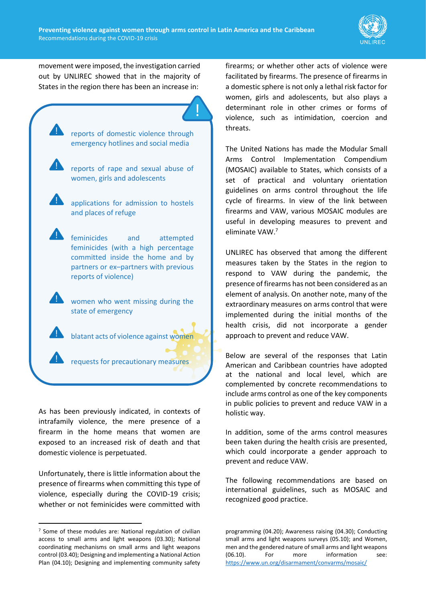

movement were imposed, the investigation carried out by UNLIREC showed that in the majority of States in the region there has been an increase in:

reports of domestic violence through emergency hotlines and social media reports of rape and sexual abuse of women, girls and adolescents applications for admission to hostels and places of refuge feminicides and attempted feminicides (with a high percentage committed inside the home and by partners or ex–partners with previous reports of violence) women who went missing during the state of emergency blatant acts of violence against women requests for precautionary measures

As has been previously indicated, in contexts of intrafamily violence, the mere presence of a firearm in the home means that women are exposed to an increased risk of death and that domestic violence is perpetuated.

Unfortunately, there is little information about the presence of firearms when committing this type of violence, especially during the COVID-19 crisis; whether or not feminicides were committed with

firearms; or whether other acts of violence were facilitated by firearms. The presence of firearms in a domestic sphere is not only a lethal risk factor for women, girls and adolescents, but also plays a determinant role in other crimes or forms of violence, such as intimidation, coercion and threats.

The United Nations has made the Modular Small Arms Control Implementation Compendium (MOSAIC) available to States, which consists of a set of practical and voluntary orientation guidelines on arms control throughout the life cycle of firearms. In view of the link between firearms and VAW, various MOSAIC modules are useful in developing measures to prevent and eliminate VAW. 7

UNLIREC has observed that among the different measures taken by the States in the region to respond to VAW during the pandemic, the presence of firearms has not been considered as an element of analysis. On another note, many of the extraordinary measures on arms control that were implemented during the initial months of the health crisis, did not incorporate a gender approach to prevent and reduce VAW.

Below are several of the responses that Latin American and Caribbean countries have adopted at the national and local level, which are complemented by concrete recommendations to include arms control as one of the key components in public policies to prevent and reduce VAW in a holistic way.

In addition, some of the arms control measures been taken during the health crisis are presented, which could incorporate a gender approach to prevent and reduce VAW.

The following recommendations are based on international guidelines, such as MOSAIC and recognized good practice.

<sup>7</sup> Some of these modules are: National regulation of civilian access to small arms and light weapons (03.30); National coordinating mechanisms on small arms and light weapons control (03.40); Designing and implementing a National Action Plan (04.10); Designing and implementing community safety

programming (04.20); Awareness raising (04.30); Conducting small arms and light weapons surveys (05.10); and Women, men and the gendered nature of small arms and light weapons (06.10). For more information see: <https://www.un.org/disarmament/convarms/mosaic/>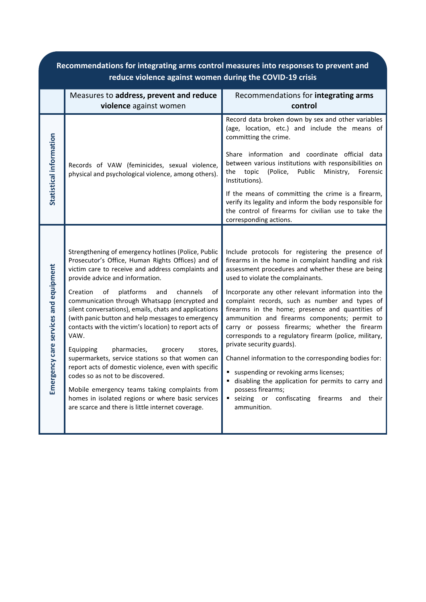| Recommendations for integrating arms control measures into responses to prevent and<br>reduce violence against women during the COVID-19 crisis |                                                                                                                                                                                                                                                                                                                                                                                                                                                                                                                                                                                                                                                                                                                                                                                                                                                         |                                                                                                                                                                                                                                                                                                                                                                                                                                                                                                                                                                                                                                                                                                                                                                                                               |  |  |
|-------------------------------------------------------------------------------------------------------------------------------------------------|---------------------------------------------------------------------------------------------------------------------------------------------------------------------------------------------------------------------------------------------------------------------------------------------------------------------------------------------------------------------------------------------------------------------------------------------------------------------------------------------------------------------------------------------------------------------------------------------------------------------------------------------------------------------------------------------------------------------------------------------------------------------------------------------------------------------------------------------------------|---------------------------------------------------------------------------------------------------------------------------------------------------------------------------------------------------------------------------------------------------------------------------------------------------------------------------------------------------------------------------------------------------------------------------------------------------------------------------------------------------------------------------------------------------------------------------------------------------------------------------------------------------------------------------------------------------------------------------------------------------------------------------------------------------------------|--|--|
|                                                                                                                                                 | Measures to address, prevent and reduce<br>violence against women                                                                                                                                                                                                                                                                                                                                                                                                                                                                                                                                                                                                                                                                                                                                                                                       | Recommendations for integrating arms<br>control                                                                                                                                                                                                                                                                                                                                                                                                                                                                                                                                                                                                                                                                                                                                                               |  |  |
| Statistical information                                                                                                                         | Records of VAW (feminicides, sexual violence,<br>physical and psychological violence, among others).                                                                                                                                                                                                                                                                                                                                                                                                                                                                                                                                                                                                                                                                                                                                                    | Record data broken down by sex and other variables<br>(age, location, etc.) and include the means of<br>committing the crime.<br>Share information and coordinate official data<br>between various institutions with responsibilities on<br>topic<br>(Police,<br>Ministry,<br>the<br>Public<br>Forensic<br>Institutions).<br>If the means of committing the crime is a firearm,<br>verify its legality and inform the body responsible for<br>the control of firearms for civilian use to take the<br>corresponding actions.                                                                                                                                                                                                                                                                                  |  |  |
| Emergency care services and equipment                                                                                                           | Strengthening of emergency hotlines (Police, Public<br>Prosecutor's Office, Human Rights Offices) and of<br>victim care to receive and address complaints and<br>provide advice and information.<br>Creation<br>platforms<br>channels<br>of<br>and<br>of<br>communication through Whatsapp (encrypted and<br>silent conversations), emails, chats and applications<br>(with panic button and help messages to emergency<br>contacts with the victim's location) to report acts of<br>VAW.<br>pharmacies,<br>Equipping<br>grocery<br>stores,<br>supermarkets, service stations so that women can<br>report acts of domestic violence, even with specific<br>codes so as not to be discovered.<br>Mobile emergency teams taking complaints from<br>homes in isolated regions or where basic services<br>are scarce and there is little internet coverage. | Include protocols for registering the presence of<br>firearms in the home in complaint handling and risk<br>assessment procedures and whether these are being<br>used to violate the complainants.<br>Incorporate any other relevant information into the<br>complaint records, such as number and types of<br>firearms in the home; presence and quantities of<br>ammunition and firearms components; permit to<br>carry or possess firearms; whether the firearm<br>corresponds to a regulatory firearm (police, military,<br>private security guards).<br>Channel information to the corresponding bodies for:<br>suspending or revoking arms licenses;<br>disabling the application for permits to carry and<br>possess firearms;<br>seizing or confiscating firearms<br>٠<br>and<br>their<br>ammunition. |  |  |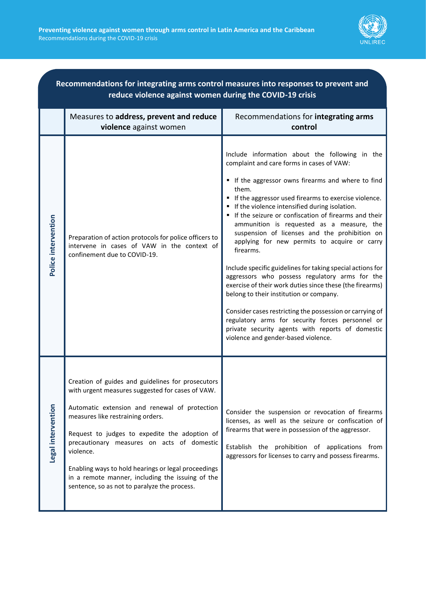

| Recommendations for integrating arms control measures into responses to prevent and<br>reduce violence against women during the COVID-19 crisis |                                                                                                                                                                                                                                                                                                                                                                                                                                                                    |                                                                                                                                                                                                                                                                                                                                                                                                                                                                                                                                                                                                                                                                                                                                                                                                                                                                                                                          |  |  |
|-------------------------------------------------------------------------------------------------------------------------------------------------|--------------------------------------------------------------------------------------------------------------------------------------------------------------------------------------------------------------------------------------------------------------------------------------------------------------------------------------------------------------------------------------------------------------------------------------------------------------------|--------------------------------------------------------------------------------------------------------------------------------------------------------------------------------------------------------------------------------------------------------------------------------------------------------------------------------------------------------------------------------------------------------------------------------------------------------------------------------------------------------------------------------------------------------------------------------------------------------------------------------------------------------------------------------------------------------------------------------------------------------------------------------------------------------------------------------------------------------------------------------------------------------------------------|--|--|
|                                                                                                                                                 | Measures to address, prevent and reduce<br>violence against women                                                                                                                                                                                                                                                                                                                                                                                                  | Recommendations for integrating arms<br>control                                                                                                                                                                                                                                                                                                                                                                                                                                                                                                                                                                                                                                                                                                                                                                                                                                                                          |  |  |
| Police intervention                                                                                                                             | Preparation of action protocols for police officers to<br>intervene in cases of VAW in the context of<br>confinement due to COVID-19.                                                                                                                                                                                                                                                                                                                              | Include information about the following in the<br>complaint and care forms in cases of VAW:<br>" If the aggressor owns firearms and where to find<br>them.<br>If the aggressor used firearms to exercise violence.<br>If the violence intensified during isolation.<br>If the seizure or confiscation of firearms and their<br>ammunition is requested as a measure, the<br>suspension of licenses and the prohibition on<br>applying for new permits to acquire or carry<br>firearms.<br>Include specific guidelines for taking special actions for<br>aggressors who possess regulatory arms for the<br>exercise of their work duties since these (the firearms)<br>belong to their institution or company.<br>Consider cases restricting the possession or carrying of<br>regulatory arms for security forces personnel or<br>private security agents with reports of domestic<br>violence and gender-based violence. |  |  |
| Legal intervention                                                                                                                              | Creation of guides and guidelines for prosecutors<br>with urgent measures suggested for cases of VAW.<br>Automatic extension and renewal of protection<br>measures like restraining orders.<br>Request to judges to expedite the adoption of<br>precautionary measures on acts of domestic<br>violence.<br>Enabling ways to hold hearings or legal proceedings<br>in a remote manner, including the issuing of the<br>sentence, so as not to paralyze the process. | Consider the suspension or revocation of firearms<br>licenses, as well as the seizure or confiscation of<br>firearms that were in possession of the aggressor.<br>Establish the prohibition of applications from<br>aggressors for licenses to carry and possess firearms.                                                                                                                                                                                                                                                                                                                                                                                                                                                                                                                                                                                                                                               |  |  |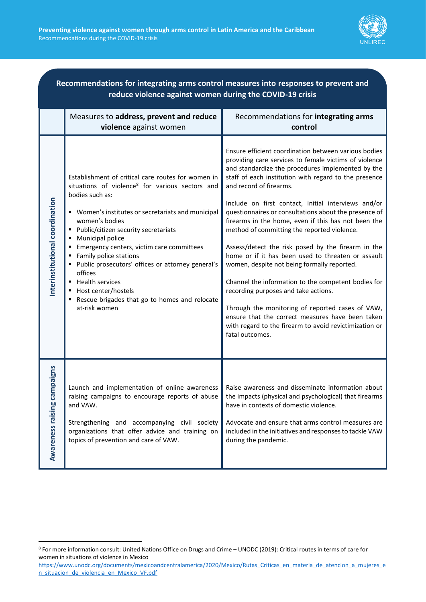

| Recommendations for integrating arms control measures into responses to prevent and<br>reduce violence against women during the COVID-19 crisis |                                                                                                                                                                                                                                                                                                                                                                                                                                                                                                                                              |                                                                                                                                                                                                                                                                                                                                                                                                                                                                                                                                                                                                                                                                                                                                                                                                                                                                                                                             |  |  |
|-------------------------------------------------------------------------------------------------------------------------------------------------|----------------------------------------------------------------------------------------------------------------------------------------------------------------------------------------------------------------------------------------------------------------------------------------------------------------------------------------------------------------------------------------------------------------------------------------------------------------------------------------------------------------------------------------------|-----------------------------------------------------------------------------------------------------------------------------------------------------------------------------------------------------------------------------------------------------------------------------------------------------------------------------------------------------------------------------------------------------------------------------------------------------------------------------------------------------------------------------------------------------------------------------------------------------------------------------------------------------------------------------------------------------------------------------------------------------------------------------------------------------------------------------------------------------------------------------------------------------------------------------|--|--|
|                                                                                                                                                 | Measures to address, prevent and reduce<br>violence against women                                                                                                                                                                                                                                                                                                                                                                                                                                                                            | Recommendations for integrating arms<br>control                                                                                                                                                                                                                                                                                                                                                                                                                                                                                                                                                                                                                                                                                                                                                                                                                                                                             |  |  |
| Interinstitutional coordination                                                                                                                 | Establishment of critical care routes for women in<br>situations of violence <sup>8</sup> for various sectors and<br>bodies such as:<br>" Women's institutes or secretariats and municipal<br>women's bodies<br>Public/citizen security secretariats<br>Municipal police<br>Emergency centers, victim care committees<br>Family police stations<br>Public prosecutors' offices or attorney general's<br>offices<br><b>Health services</b><br>٠<br>Host center/hostels<br>Rescue brigades that go to homes and relocate<br>٠<br>at-risk women | Ensure efficient coordination between various bodies<br>providing care services to female victims of violence<br>and standardize the procedures implemented by the<br>staff of each institution with regard to the presence<br>and record of firearms.<br>Include on first contact, initial interviews and/or<br>questionnaires or consultations about the presence of<br>firearms in the home, even if this has not been the<br>method of committing the reported violence.<br>Assess/detect the risk posed by the firearm in the<br>home or if it has been used to threaten or assault<br>women, despite not being formally reported.<br>Channel the information to the competent bodies for<br>recording purposes and take actions.<br>Through the monitoring of reported cases of VAW,<br>ensure that the correct measures have been taken<br>with regard to the firearm to avoid revictimization or<br>fatal outcomes. |  |  |
| Awareness raising campaigns                                                                                                                     | Launch and implementation of online awareness<br>raising campaigns to encourage reports of abuse<br>and VAW.<br>Strengthening and accompanying civil society<br>organizations that offer advice and training on<br>topics of prevention and care of VAW.                                                                                                                                                                                                                                                                                     | Raise awareness and disseminate information about<br>the impacts (physical and psychological) that firearms<br>have in contexts of domestic violence.<br>Advocate and ensure that arms control measures are<br>included in the initiatives and responses to tackle VAW<br>during the pandemic.                                                                                                                                                                                                                                                                                                                                                                                                                                                                                                                                                                                                                              |  |  |

<sup>8</sup> For more information consult: United Nations Office on Drugs and Crime – UNODC (2019): Critical routes in terms of care for women in situations of violence in Mexico

[https://www.unodc.org/documents/mexicoandcentralamerica/2020/Mexico/Rutas\\_Criticas\\_en\\_materia\\_de\\_atencion\\_a\\_mujeres\\_e](https://www.unodc.org/documents/mexicoandcentralamerica/2020/Mexico/Rutas_Criticas_en_materia_de_atencion_a_mujeres_en_situacion_de_violencia_en_Mexico_VF.pdf) [n\\_situacion\\_de\\_violencia\\_en\\_Mexico\\_VF.pdf](https://www.unodc.org/documents/mexicoandcentralamerica/2020/Mexico/Rutas_Criticas_en_materia_de_atencion_a_mujeres_en_situacion_de_violencia_en_Mexico_VF.pdf)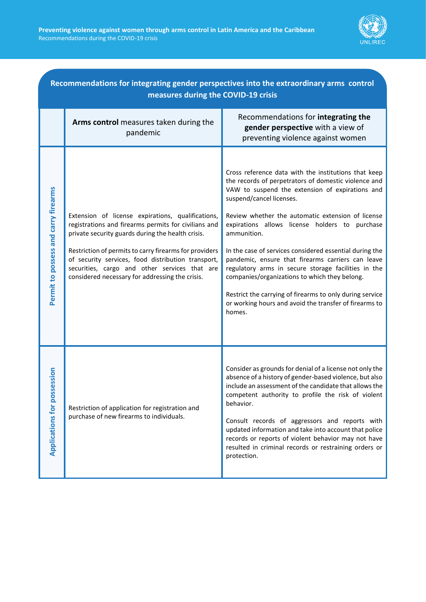

| Recommendations for integrating gender perspectives into the extraordinary arms control<br>measures during the COVID-19 crisis |                                                                                                                                                                                                                                                                                                                                                                                    |                                                                                                                                                                                                                                                                                                                                                                                                                                                                                                                                                                                                                                                                           |  |  |
|--------------------------------------------------------------------------------------------------------------------------------|------------------------------------------------------------------------------------------------------------------------------------------------------------------------------------------------------------------------------------------------------------------------------------------------------------------------------------------------------------------------------------|---------------------------------------------------------------------------------------------------------------------------------------------------------------------------------------------------------------------------------------------------------------------------------------------------------------------------------------------------------------------------------------------------------------------------------------------------------------------------------------------------------------------------------------------------------------------------------------------------------------------------------------------------------------------------|--|--|
|                                                                                                                                | Arms control measures taken during the<br>pandemic                                                                                                                                                                                                                                                                                                                                 | Recommendations for integrating the<br>gender perspective with a view of<br>preventing violence against women                                                                                                                                                                                                                                                                                                                                                                                                                                                                                                                                                             |  |  |
| Permit to possess and carry firearms                                                                                           | Extension of license expirations, qualifications,<br>registrations and firearms permits for civilians and<br>private security guards during the health crisis.<br>Restriction of permits to carry firearms for providers<br>of security services, food distribution transport,<br>securities, cargo and other services that are<br>considered necessary for addressing the crisis. | Cross reference data with the institutions that keep<br>the records of perpetrators of domestic violence and<br>VAW to suspend the extension of expirations and<br>suspend/cancel licenses.<br>Review whether the automatic extension of license<br>expirations allows license holders to purchase<br>ammunition.<br>In the case of services considered essential during the<br>pandemic, ensure that firearms carriers can leave<br>regulatory arms in secure storage facilities in the<br>companies/organizations to which they belong.<br>Restrict the carrying of firearms to only during service<br>or working hours and avoid the transfer of firearms to<br>homes. |  |  |
| ssession<br><b>Applications for pc</b>                                                                                         | Restriction of application for registration and<br>purchase of new firearms to individuals.                                                                                                                                                                                                                                                                                        | Consider as grounds for denial of a license not only the<br>absence of a history of gender-based violence, but also<br>include an assessment of the candidate that allows the<br>competent authority to profile the risk of violent<br>behavior.<br>Consult records of aggressors and reports with<br>updated information and take into account that police<br>records or reports of violent behavior may not have<br>resulted in criminal records or restraining orders or<br>protection.                                                                                                                                                                                |  |  |